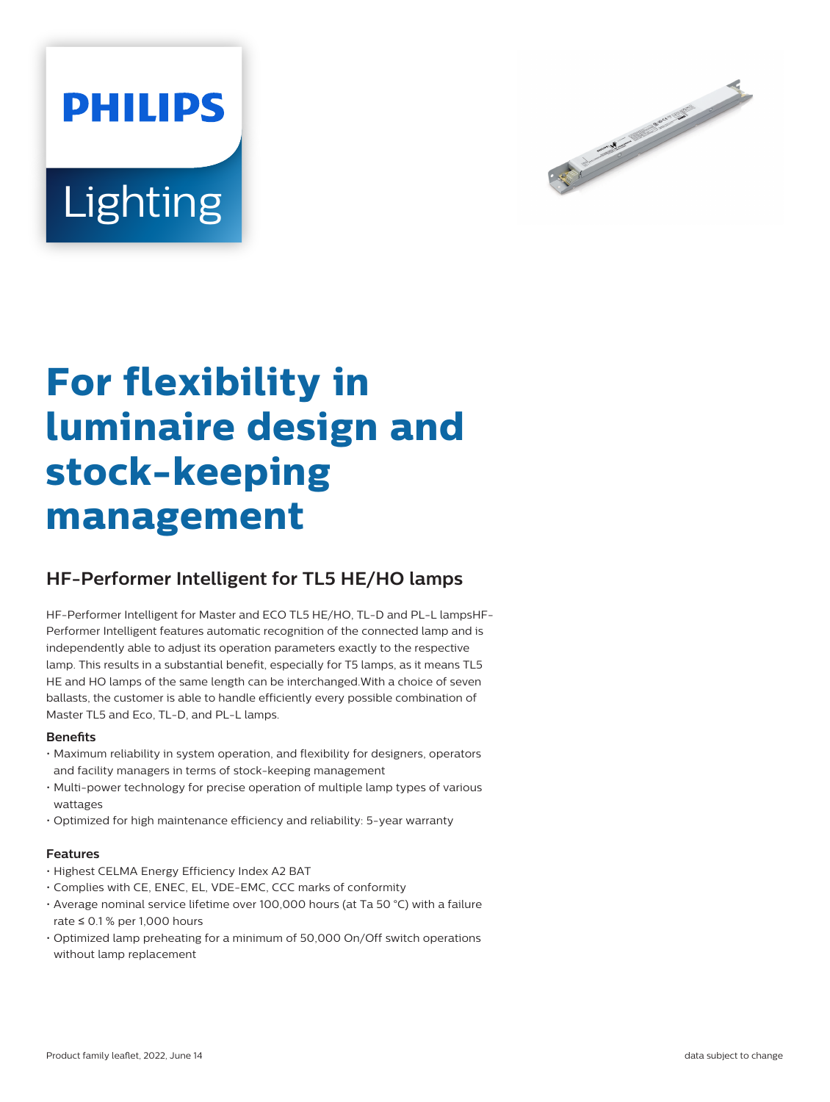



# **For flexibility in luminaire design and stock-keeping management**

## **HF-Performer Intelligent for TL5 HE/HO lamps**

HF-Performer Intelligent for Master and ECO TL5 HE/HO, TL-D and PL-L lampsHF-Performer Intelligent features automatic recognition of the connected lamp and is independently able to adjust its operation parameters exactly to the respective lamp. This results in a substantial benefit, especially for T5 lamps, as it means TL5 HE and HO lamps of the same length can be interchanged.With a choice of seven ballasts, the customer is able to handle efficiently every possible combination of Master TL5 and Eco, TL-D, and PL-L lamps.

#### **Benefits**

- Maximum reliability in system operation, and flexibility for designers, operators and facility managers in terms of stock-keeping management
- Multi-power technology for precise operation of multiple lamp types of various wattages
- Optimized for high maintenance efficiency and reliability: 5-year warranty

#### **Features**

- Highest CELMA Energy Efficiency Index A2 BAT
- Complies with CE, ENEC, EL, VDE-EMC, CCC marks of conformity
- Average nominal service lifetime over 100,000 hours (at Ta 50 °C) with a failure rate ≤ 0.1 % per 1,000 hours
- Optimized lamp preheating for a minimum of 50,000 On/Off switch operations without lamp replacement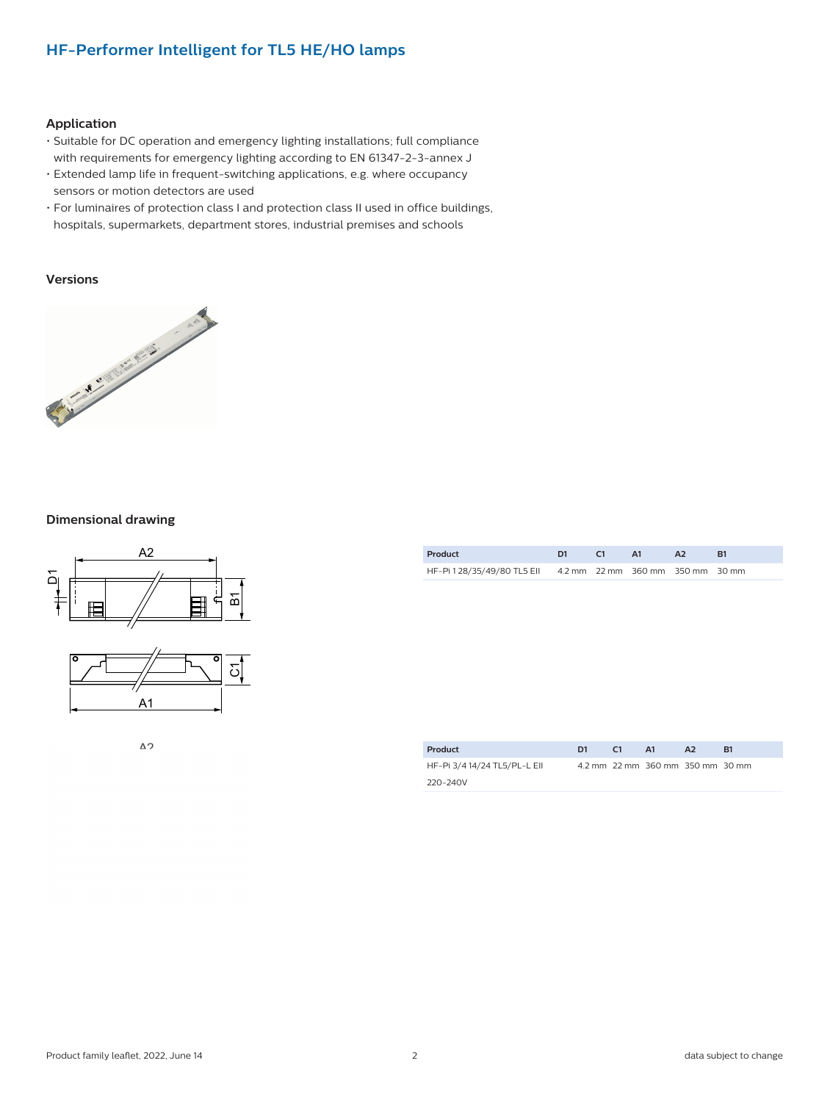### **HF-Performer Intelligent for TL5 HE/HO lamps**

#### **Application**

- Suitable for DC operation and emergency lighting installations; full compliance with requirements for emergency lighting according to EN 61347-2-3-annex J
- Extended lamp life in frequent-switching applications, e.g. where occupancy sensors or motion detectors are used
- For luminaires of protection class I and protection class II used in office buildings, hospitals, supermarkets, department stores, industrial premises and schools

#### **Versions**



#### **Dimensional drawing**



 $\Delta$  2

| Product                                                      | - 61 | <b>A1</b> |  |
|--------------------------------------------------------------|------|-----------|--|
| HF-Pi 1 28/35/49/80 TL5 Ell 4.2 mm 22 mm 360 mm 350 mm 30 mm |      |           |  |

| Product                      | D1 | C <sub>1</sub> | A1                               | A <sub>2</sub> | B1 |
|------------------------------|----|----------------|----------------------------------|----------------|----|
| HF-Pi 3/4 14/24 TL5/PL-L EII |    |                | 4.2 mm 22 mm 360 mm 350 mm 30 mm |                |    |
| 220-240V                     |    |                |                                  |                |    |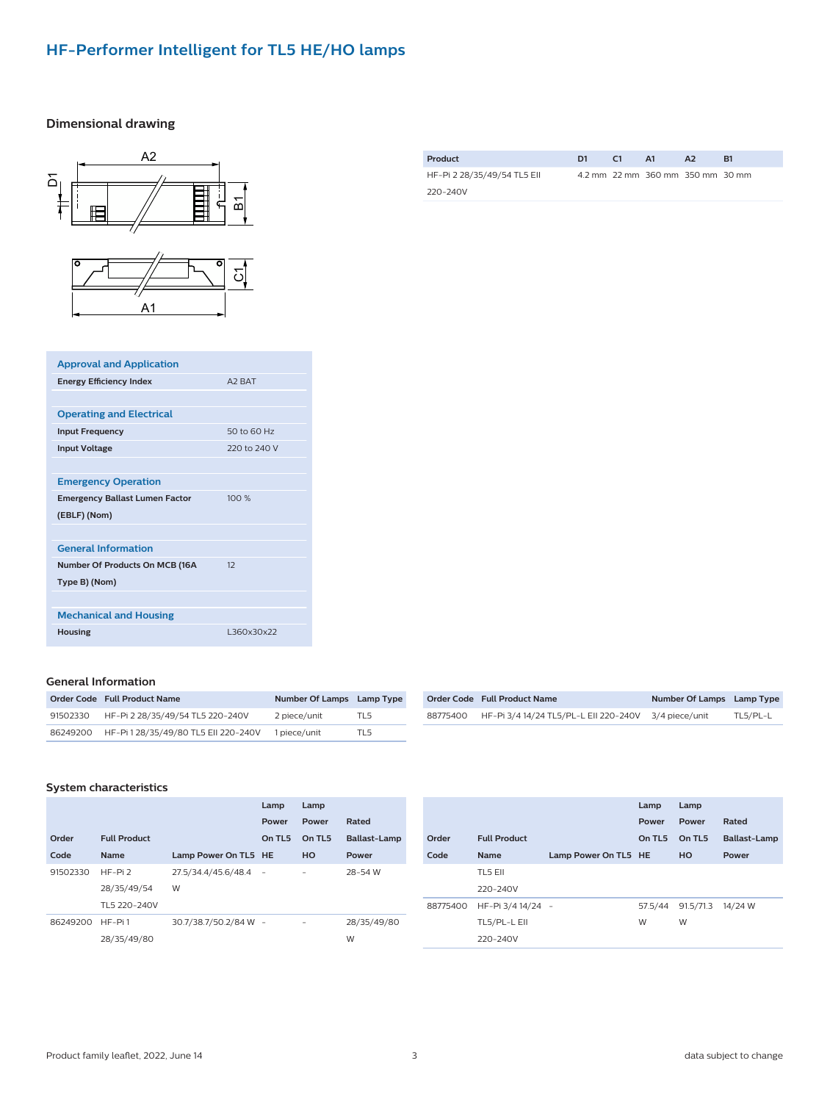## **HF-Performer Intelligent for TL5 HE/HO lamps**

#### **Dimensional drawing**



| Product                     | D1 | C <sub>1</sub> | - A1                             | A <sub>2</sub> | B1 |
|-----------------------------|----|----------------|----------------------------------|----------------|----|
| HF-Pi 2 28/35/49/54 TL5 Ell |    |                | 4.2 mm 22 mm 360 mm 350 mm 30 mm |                |    |
| 220-240V                    |    |                |                                  |                |    |

| <b>Approval and Application</b>       |                    |
|---------------------------------------|--------------------|
| <b>Energy Efficiency Index</b>        | A <sub>2</sub> RAT |
|                                       |                    |
| <b>Operating and Electrical</b>       |                    |
| <b>Input Frequency</b>                | 50 to 60 Hz        |
| <b>Input Voltage</b>                  | 220 to 240 V       |
|                                       |                    |
| <b>Emergency Operation</b>            |                    |
| <b>Emergency Ballast Lumen Factor</b> | 100 %              |
| (EBLF) (Nom)                          |                    |
|                                       |                    |
| <b>General Information</b>            |                    |
| Number Of Products On MCB (16A        | 12                 |
| Type B) (Nom)                         |                    |
|                                       |                    |
| <b>Mechanical and Housing</b>         |                    |
| <b>Housing</b>                        | L360x30x22         |
|                                       |                    |

#### **General Information**

| Order Code Full Product Name                  | Number Of Lamps Lamp Type |                 |
|-----------------------------------------------|---------------------------|-----------------|
| 91502330 HF-Pi 2 28/35/49/54 TL5 220-240V     | 2 piece/unit              | TL <sub>5</sub> |
| 86249200 HF-Pi 1 28/35/49/80 TL5 Ell 220-240V | 1 piece/unit              | TI 5            |

|          | Order Code Full Product Name                         | Number Of Lamps Lamp Type |          |
|----------|------------------------------------------------------|---------------------------|----------|
| 88775400 | HF-Pi 3/4 14/24 TL5/PL-L EII 220-240V 3/4 piece/unit |                           | TL5/PL-L |

#### **System characteristics**

|          |                     |                       | Lamp   | Lamp                     |                     |
|----------|---------------------|-----------------------|--------|--------------------------|---------------------|
|          |                     |                       | Power  | Power                    | Rated               |
| Order    | <b>Full Product</b> |                       | On TL5 | On TL5                   | <b>Ballast-Lamp</b> |
| Code     | <b>Name</b>         | Lamp Power On TL5 HE  |        | HO                       | Power               |
| 91502330 | $HF-Pi2$            | 27.5/34.4/45.6/48.4   | $\sim$ | $\overline{\phantom{0}}$ | 28-54 W             |
|          | 28/35/49/54         | W                     |        |                          |                     |
|          | TL5 220-240V        |                       |        |                          |                     |
| 86249200 | HF-Pi1              | 30.7/38.7/50.2/84 W - |        |                          | 28/35/49/80         |
|          | 28/35/49/80         |                       |        |                          | W                   |

|          |                     |                      | Lamp    | Lamp      |                     |
|----------|---------------------|----------------------|---------|-----------|---------------------|
|          |                     |                      | Power   | Power     | Rated               |
| Order    | <b>Full Product</b> |                      | On TL5  | On TL5    | <b>Ballast-Lamp</b> |
| Code     | <b>Name</b>         | Lamp Power On TL5 HE |         | HO        | Power               |
|          | TL5 EII             |                      |         |           |                     |
|          | 220-240V            |                      |         |           |                     |
| 88775400 | HF-Pi 3/4 14/24 -   |                      | 57.5/44 | 91.5/71.3 | 14/24 W             |
|          | TL5/PL-L EII        |                      | W       | W         |                     |
|          | 220-240V            |                      |         |           |                     |